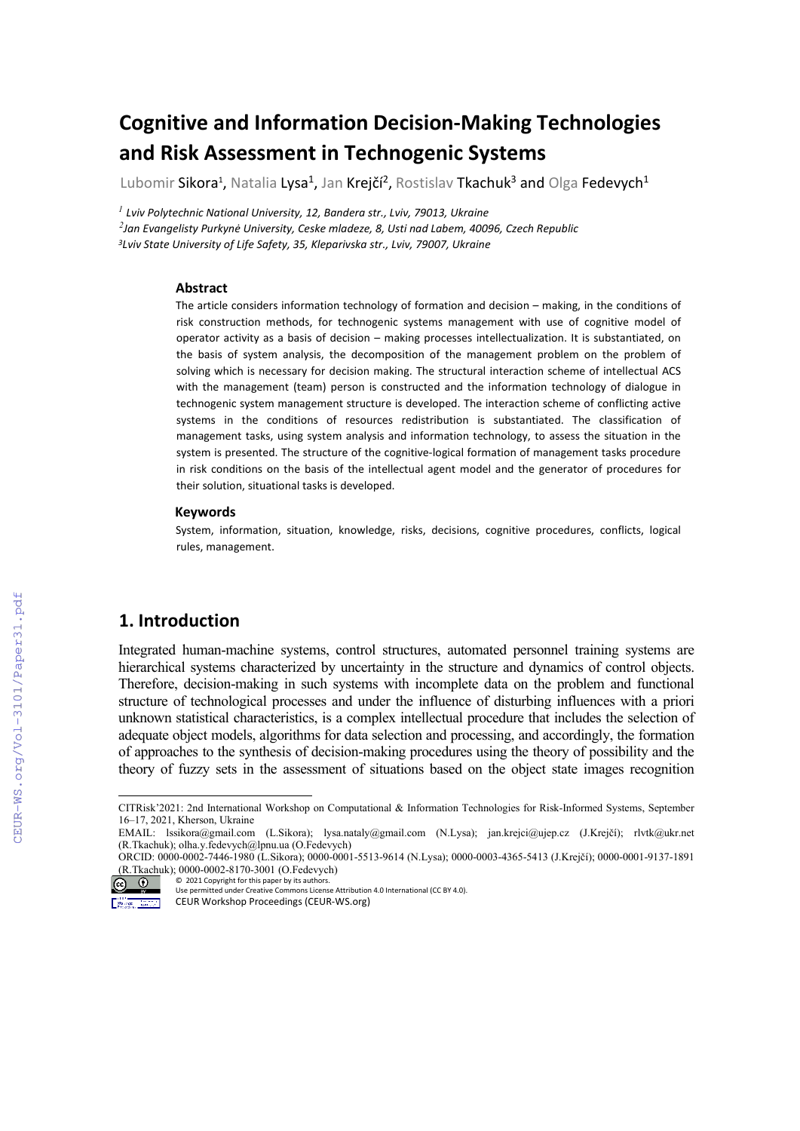# **Cognitive and Information Decision-Making Technologies and Risk Assessment in Technogenic Systems**

Lubomir Sikora<sup>1</sup>, Natalia Lysa<sup>1</sup>, Jan Krejčí<sup>2</sup>, Rostislav Tkachuk<sup>3</sup> and Olga Fedevych<sup>1</sup>

*<sup>1</sup> Lviv Polytechnic National University, 12, Bandera str., Lviv, 79013, Ukraine 2 Jan Evangelisty Purkynė University, Ceske mladeze, 8, Usti nad Labem, 40096, Czech Republic 3Lviv State University of Life Safety, 35, Kleparivska str., Lviv, 79007, Ukraine*

#### **Abstract**

The article considers information technology of formation and decision – making, in the conditions of risk construction methods, for technogenic systems management with use of cognitive model of operator activity as a basis of decision – making processes intellectualization. It is substantiated, on the basis of system analysis, the decomposition of the management problem on the problem of solving which is necessary for decision making. The structural interaction scheme of intellectual ACS with the management (team) person is constructed and the information technology of dialogue in technogenic system management structure is developed. The interaction scheme of conflicting active systems in the conditions of resources redistribution is substantiated. The classification of management tasks, using system analysis and information technology, to assess the situation in the system is presented. The structure of the cognitive-logical formation of management tasks procedure in risk conditions on the basis of the intellectual agent model and the generator of procedures for their solution, situational tasks is developed.

#### **Keywords [1](#page-0-0)**

System, information, situation, knowledge, risks, decisions, cognitive procedures, conflicts, logical rules, management.

#### **1. Introduction**

Integrated human-machine systems, control structures, automated personnel training systems are hierarchical systems characterized by uncertainty in the structure and dynamics of control objects. Therefore, decision-making in such systems with incomplete data on the problem and functional structure of technological processes and under the influence of disturbing influences with a priori unknown statistical characteristics, is a complex intellectual procedure that includes the selection of adequate object models, algorithms for data selection and processing, and accordingly, the formation of approaches to the synthesis of decision-making procedures using the theory of possibility and the theory of fuzzy sets in the assessment of situations based on the object state images recognition

CITRisk'2021: 2nd International Workshop on Computational & Information Technologies for Risk-Informed Systems, September 16–17, 2021, Kherson, Ukraine

<span id="page-0-0"></span>EMAIL: [lssikora@gmail.com](mailto:lssikora@gmail.com) (L.Sikora); [lysa.nataly@gmail.com](mailto:lysa.nataly@gmail.com) (N.Lysa); jan.krejci@ujep.cz (J.Krejčí); [rlvtk@ukr.net](mailto:lvtk@ukr.net) (R.Tkachuk)[; olha.y.fedevych@lpnu.ua](mailto:olha.y.fedevych@lpnu.ua) (O.Fedevych)

ORCID: 0000-0002-7446-1980 (L.Sikora); 0000-0001-5513-9614 (N.Lysa); 0000-0003-4365-5413 (J.Krejčí); 0000-0001-9137-1891 (R.Tkachuk); 0000-0002-8170-3001 (O.Fedevych)

<sup>©</sup> 2021 Copyright for this paper by its authors.  $\circledcirc$ Use permitted under Creative Commons License Attribution 4.0 International (CC BY 4.0).

CEUR Workshop Proceedings (CEUR-WS.org)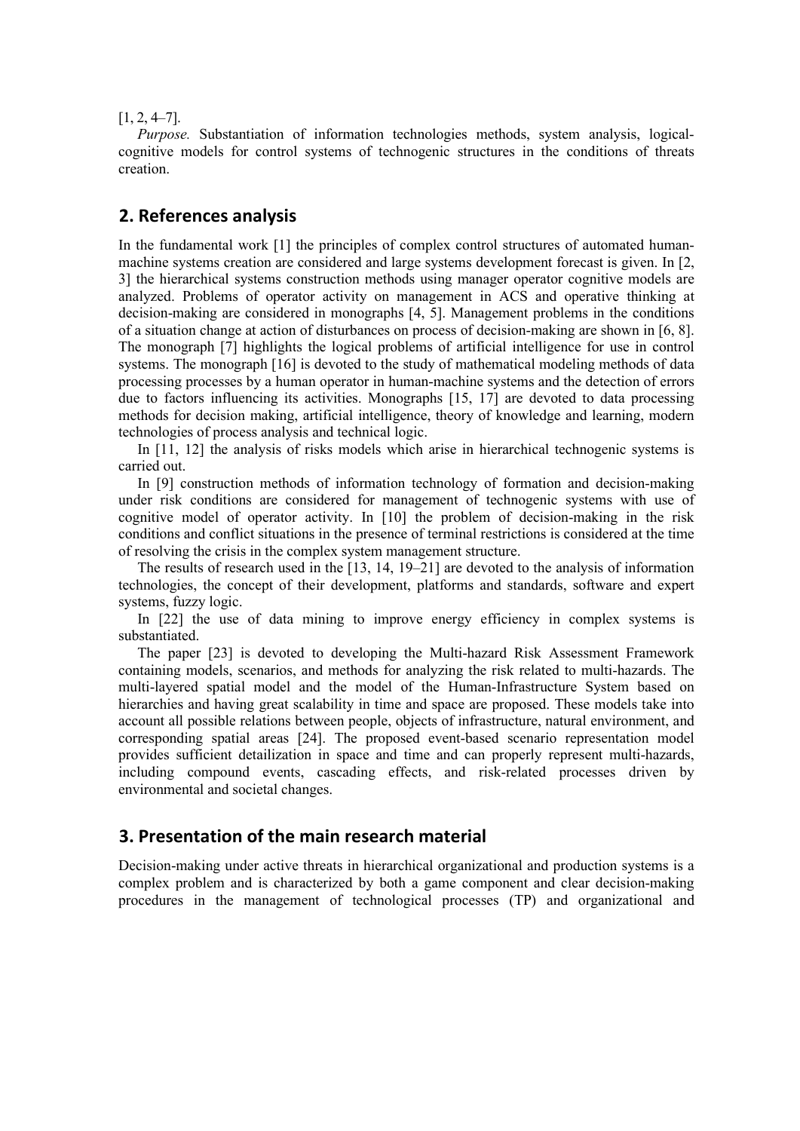$[1, 2, 4–7].$ 

*Purpose.* Substantiation of information technologies methods, system analysis, logicalcognitive models for control systems of technogenic structures in the conditions of threats creation.

#### **2. References analysis**

In the fundamental work [1] the principles of complex control structures of automated humanmachine systems creation are considered and large systems development forecast is given. In [2, 3] the hierarchical systems construction methods using manager operator cognitive models are analyzed. Problems of operator activity on management in ACS and operative thinking at decision-making are considered in monographs [4, 5]. Management problems in the conditions of a situation change at action of disturbances on process of decision-making are shown in [6, 8]. The monograph [7] highlights the logical problems of artificial intelligence for use in control systems. The monograph [16] is devoted to the study of mathematical modeling methods of data processing processes by a human operator in human-machine systems and the detection of errors due to factors influencing its activities. Monographs [15, 17] are devoted to data processing methods for decision making, artificial intelligence, theory of knowledge and learning, modern technologies of process analysis and technical logic.

In [11, 12] the analysis of risks models which arise in hierarchical technogenic systems is carried out.

In [9] construction methods of information technology of formation and decision-making under risk conditions are considered for management of technogenic systems with use of cognitive model of operator activity. In [10] the problem of decision-making in the risk conditions and conflict situations in the presence of terminal restrictions is considered at the time of resolving the crisis in the complex system management structure.

The results of research used in the [13, 14, 19–21] are devoted to the analysis of information technologies, the concept of their development, platforms and standards, software and expert systems, fuzzy logic.

In [22] the use of data mining to improve energy efficiency in complex systems is substantiated.

The paper [23] is devoted to developing the Multi-hazard Risk Assessment Framework containing models, scenarios, and methods for analyzing the risk related to multi-hazards. The multi-layered spatial model and the model of the Human-Infrastructure System based on hierarchies and having great scalability in time and space are proposed. These models take into account all possible relations between people, objects of infrastructure, natural environment, and corresponding spatial areas [24]. The proposed event-based scenario representation model provides sufficient detailization in space and time and can properly represent multi-hazards, including compound events, cascading effects, and risk-related processes driven by environmental and societal changes.

### **3. Presentation of the main research material**

Decision-making under active threats in hierarchical organizational and production systems is a complex problem and is characterized by both a game component and clear decision-making procedures in the management of technological processes (TP) and organizational and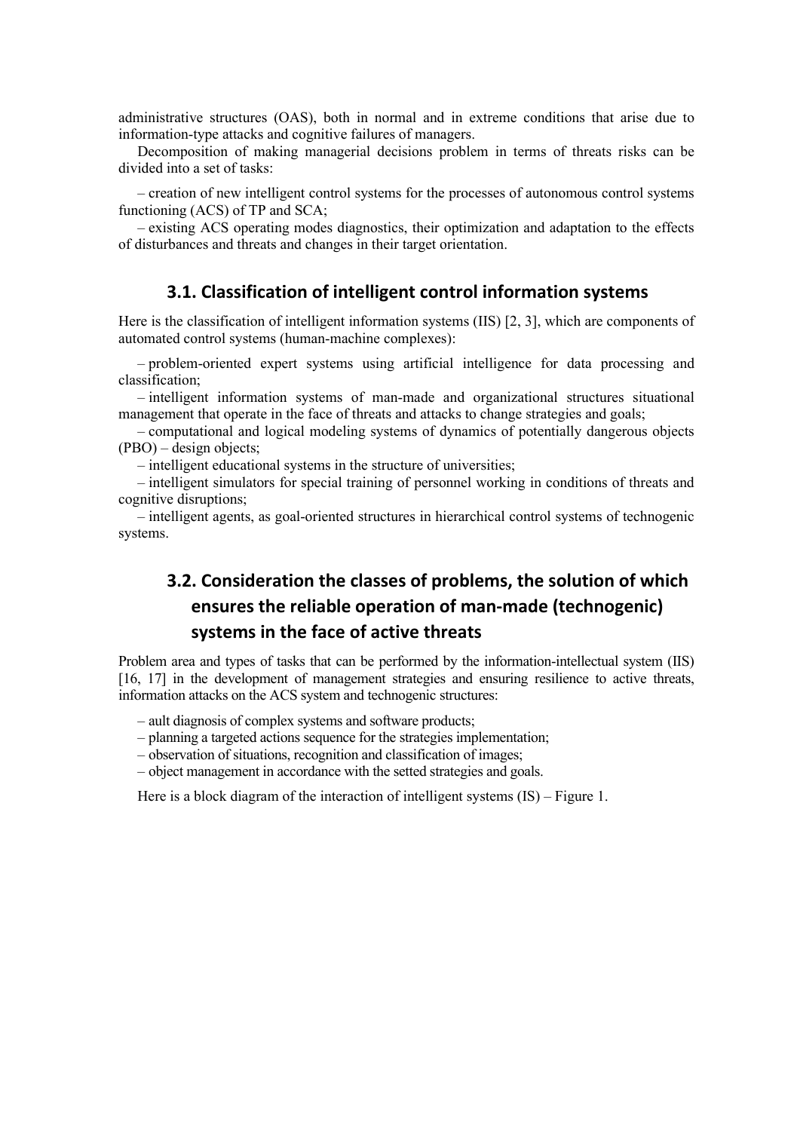administrative structures (OAS), both in normal and in extreme conditions that arise due to information-type attacks and cognitive failures of managers.

Decomposition of making managerial decisions problem in terms of threats risks can be divided into a set of tasks:

– creation of new intelligent control systems for the processes of autonomous control systems functioning (ACS) of TP and SCA;

– existing ACS operating modes diagnostics, their optimization and adaptation to the effects of disturbances and threats and changes in their target orientation.

## **3.1. Classification of intelligent control information systems**

Here is the classification of intelligent information systems (IIS) [2, 3], which are components of automated control systems (human-machine complexes):

– problem-oriented expert systems using artificial intelligence for data processing and classification;

– intelligent information systems of man-made and organizational structures situational management that operate in the face of threats and attacks to change strategies and goals;

– сomputational and logical modeling systems of dynamics of potentially dangerous objects (PВO) – design objects;

– intelligent educational systems in the structure of universities;

– intelligent simulators for special training of personnel working in conditions of threats and cognitive disruptions;

– intelligent agents, as goal-oriented structures in hierarchical control systems of technogenic systems.

## **3.2. Consideration the classes of problems, the solution of which ensures the reliable operation of man-made (technogenic) systems in the face of active threats**

Problem area and types of tasks that can be performed by the information-intellectual system (IIS) [16, 17] in the development of management strategies and ensuring resilience to active threats, information attacks on the ACS system and technogenic structures:

- ault diagnosis of complex systems and software products;
- planning a targeted actions sequence for the strategies implementation;
- observation of situations, recognition and classification of images;
- object management in accordance with the setted strategies and goals.

Here is a block diagram of the interaction of intelligent systems (IS) – Figure 1.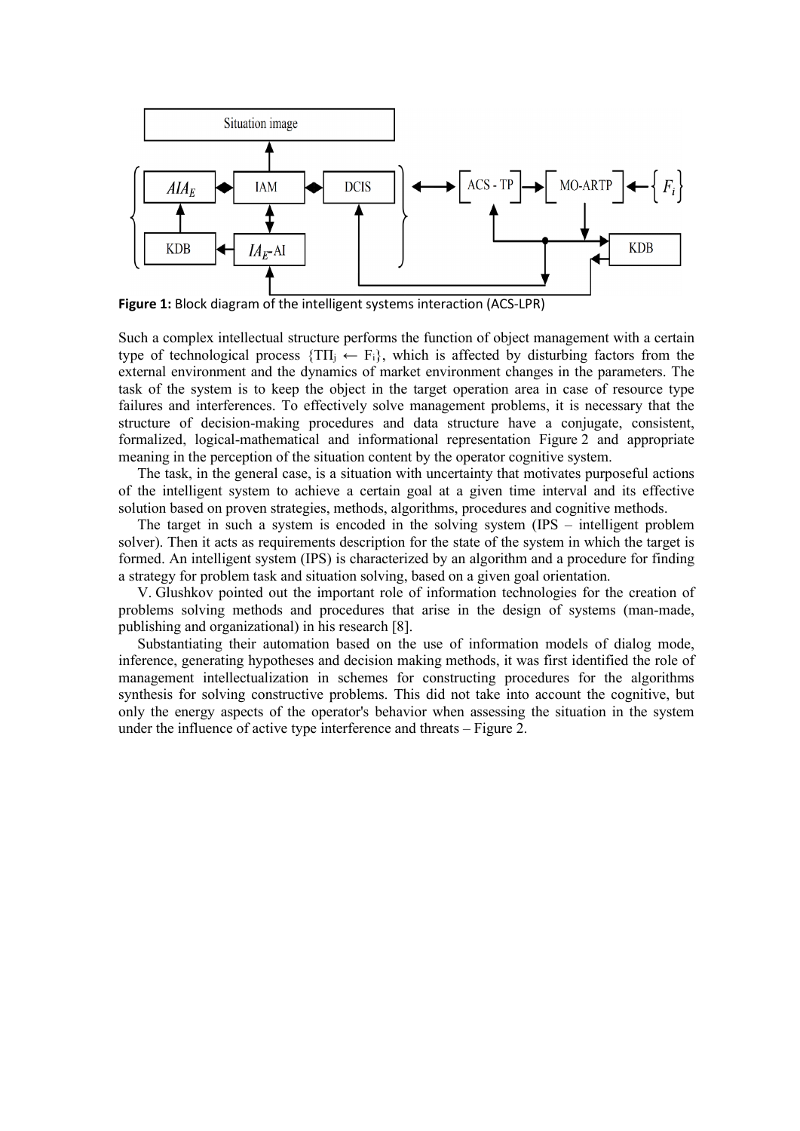

**Figure 1:** Block diagram of the intelligent systems interaction (ACS-LPR)

Such a complex intellectual structure performs the function of object management with a certain type of technological process  $\{TH_i \leftarrow F_i\}$ , which is affected by disturbing factors from the external environment and the dynamics of market environment changes in the parameters. The task of the system is to keep the object in the target operation area in case of resource type failures and interferences. To effectively solve management problems, it is necessary that the structure of decision-making procedures and data structure have a conjugate, consistent, formalized, logical-mathematical and informational representation Figure 2 and appropriate meaning in the perception of the situation content by the operator cognitive system.

The task, in the general case, is a situation with uncertainty that motivates purposeful actions of the intelligent system to achieve a certain goal at a given time interval and its effective solution based on proven strategies, methods, algorithms, procedures and cognitive methods.

The target in such a system is encoded in the solving system (IPS – intelligent problem solver). Then it acts as requirements description for the state of the system in which the target is formed. An intelligent system (IPS) is characterized by an algorithm and a procedure for finding a strategy for problem task and situation solving, based on a given goal orientation.

V. Glushkov pointed out the important role of information technologies for the creation of problems solving methods and procedures that arise in the design of systems (man-made, publishing and organizational) in his research [8].

Substantiating their automation based on the use of information models of dialog mode, inference, generating hypotheses and decision making methods, it was first identified the role of management intellectualization in schemes for constructing procedures for the algorithms synthesis for solving constructive problems. This did not take into account the cognitive, but only the energy aspects of the operator's behavior when assessing the situation in the system under the influence of active type interference and threats – Figure 2.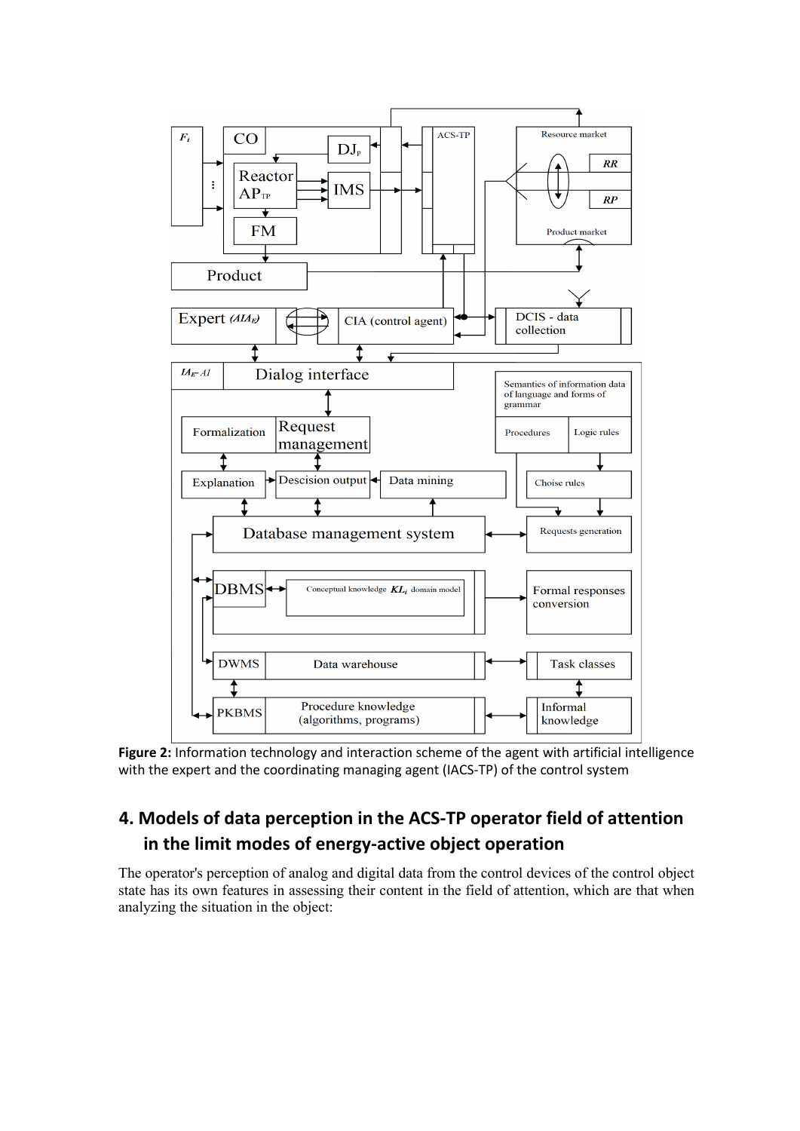

**Figure 2:** Information technology and interaction scheme of the agent with artificial intelligence with the expert and the coordinating managing agent (IACS-TP) of the control system

## **4. Models of data perception in the ACS-TP operator field of attention in the limit modes of energy-active object operation**

The operator's perception of analog and digital data from the control devices of the control object state has its own features in assessing their content in the field of attention, which are that when analyzing the situation in the object: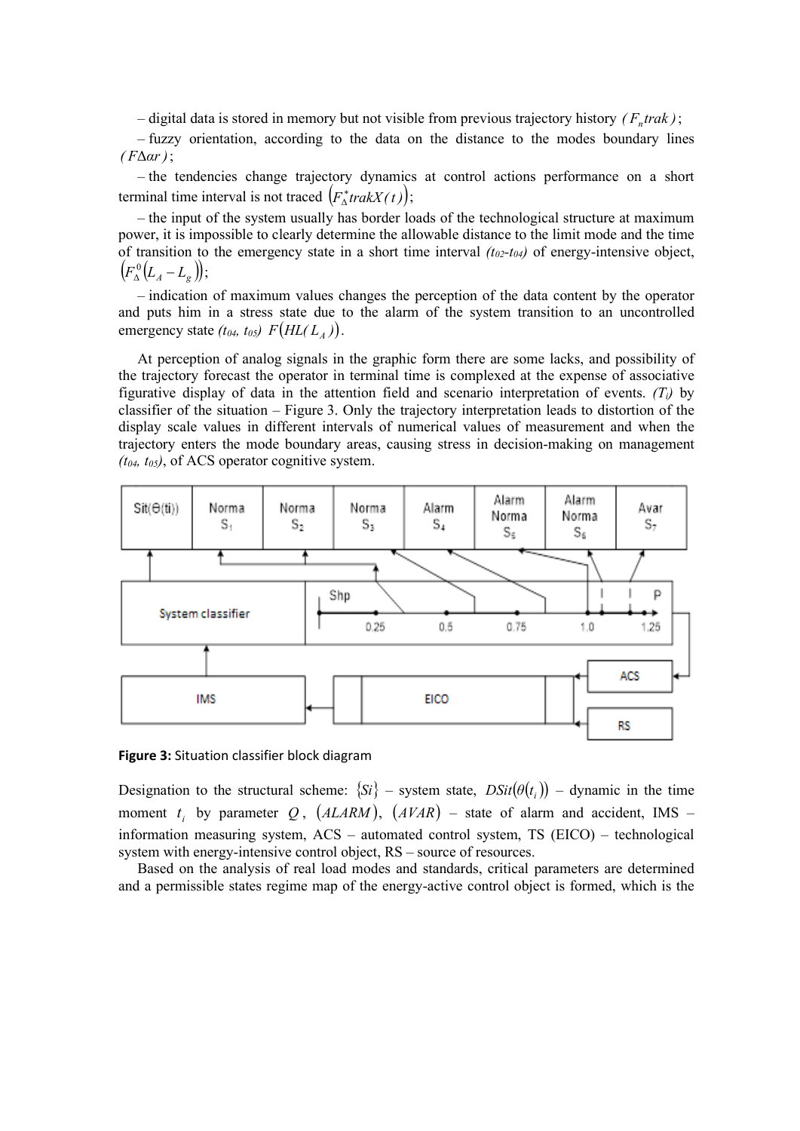– digital data is stored in memory but not visible from previous trajectory history  $(F<sub>n</sub> trak)$ ;

– fuzzy orientation, according to the data on the distance to the modes boundary lines *( F*Δ*αr)*;

– the tendencies change trajectory dynamics at control actions performance on a short terminal time interval is not traced  $(F_{\Delta}^* trakX(t));$ 

– the input of the system usually has border loads of the technological structure at maximum power, it is impossible to clearly determine the allowable distance to the limit mode and the time of transition to the emergency state in a short time interval  $(t_{02} - t_{04})$  of energy-intensive object,  $(F_{\Delta}^{0}(L_{A}-L_{g})),$ 

– indication of maximum values changes the perception of the data content by the operator and puts him in a stress state due to the alarm of the system transition to an uncontrolled emergency state  $(t_{04}, t_{05})$   $F(HL(L_4))$ .

At perception of analog signals in the graphic form there are some lacks, and possibility of the trajectory forecast the operator in terminal time is complexed at the expense of associative figurative display of data in the attention field and scenario interpretation of events. *(Ті)* by classifier of the situation – Figure 3. Only the trajectory interpretation leads to distortion of the display scale values in different intervals of numerical values of measurement and when the trajectory enters the mode boundary areas, causing stress in decision-making on management *(t04, t05)*, of ACS operator cognitive system.



**Figure 3:** Situation classifier block diagram

Designation to the structural scheme:  $\{Si\}$  – system state,  $DSit(\theta(t_i))$  – dynamic in the time moment  $t_i$  by parameter  $Q$ ,  $(ALARM)$ ,  $(AVAR)$  – state of alarm and accident, IMS – information measuring system, ACS – automated control system, TS (EICO) – technological system with energy-intensive control object, RS – source of resources.

Based on the analysis of real load modes and standards, critical parameters are determined and a permissible states regime map of the energy-active control object is formed, which is the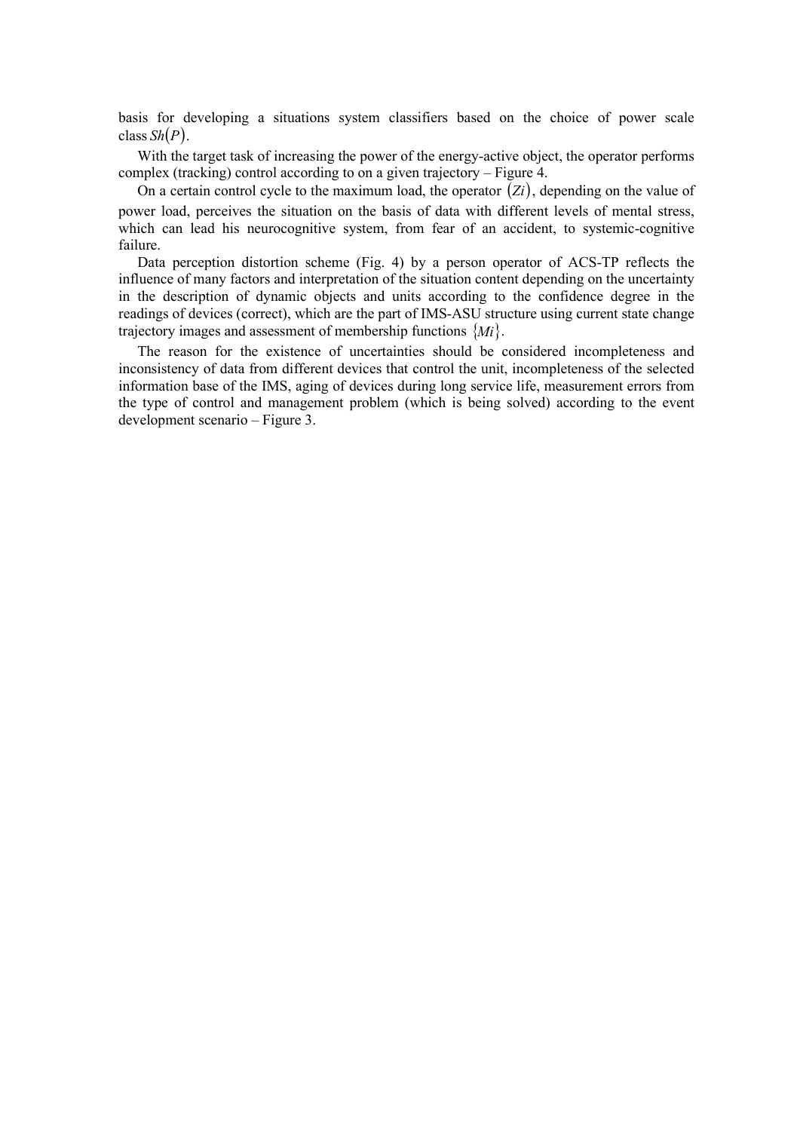basis for developing a situations system classifiers based on the choice of power scale class *Sh*(*P*).

With the target task of increasing the power of the energy-active object, the operator performs complex (tracking) control according to on a given trajectory – Figure 4.

On a certain control cycle to the maximum load, the operator (*Zi*), depending on the value of power load, perceives the situation on the basis of data with different levels of mental stress, which can lead his neurocognitive system, from fear of an accident, to systemic-cognitive failure.

Data perception distortion scheme (Fig. 4) by a person operator of ACS-TP reflects the influence of many factors and interpretation of the situation content depending on the uncertainty in the description of dynamic objects and units according to the confidence degree in the readings of devices (correct), which are the part of IMS-ASU structure using current state change trajectory images and assessment of membership functions {*Mi*}.

The reason for the existence of uncertainties should be considered incompleteness and inconsistency of data from different devices that control the unit, incompleteness of the selected information base of the IMS, aging of devices during long service life, measurement errors from the type of control and management problem (which is being solved) according to the event development scenario – Figure 3.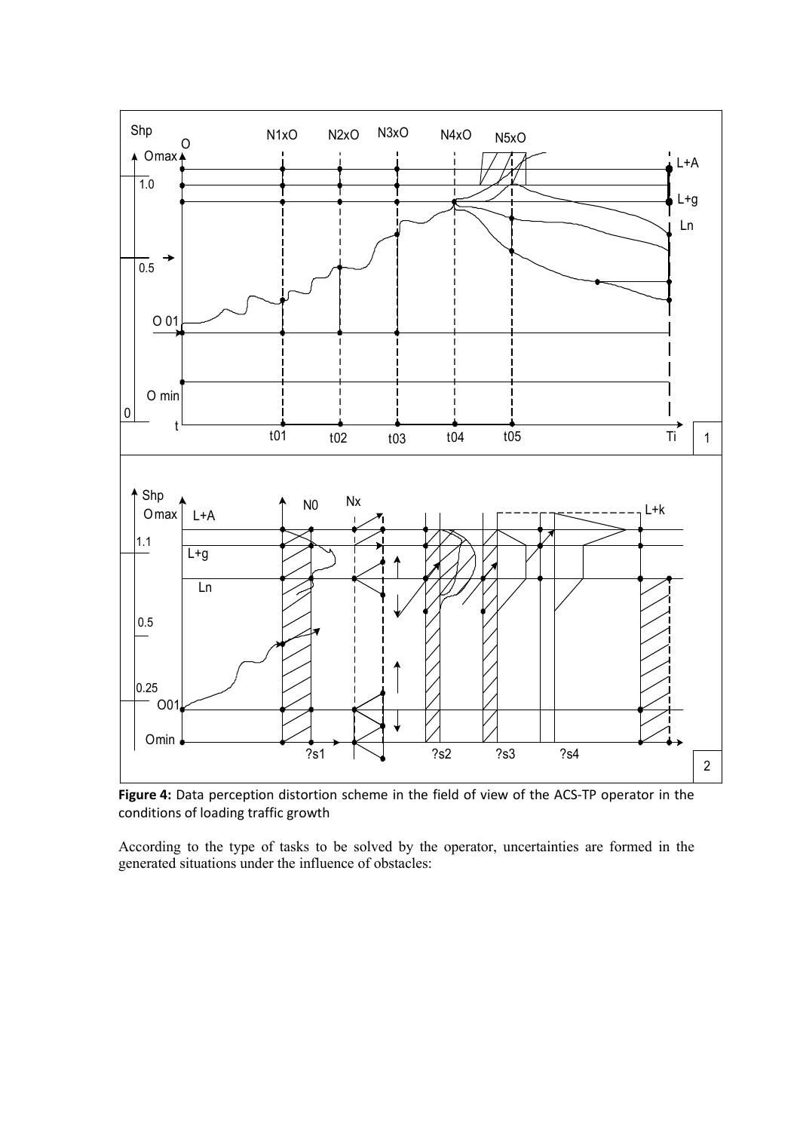

**Figure 4:** Data perception distortion scheme in the field of view of the ACS-TP operator in the conditions of loading traffic growth

According to the type of tasks to be solved by the operator, uncertainties are formed in the generated situations under the influence of obstacles: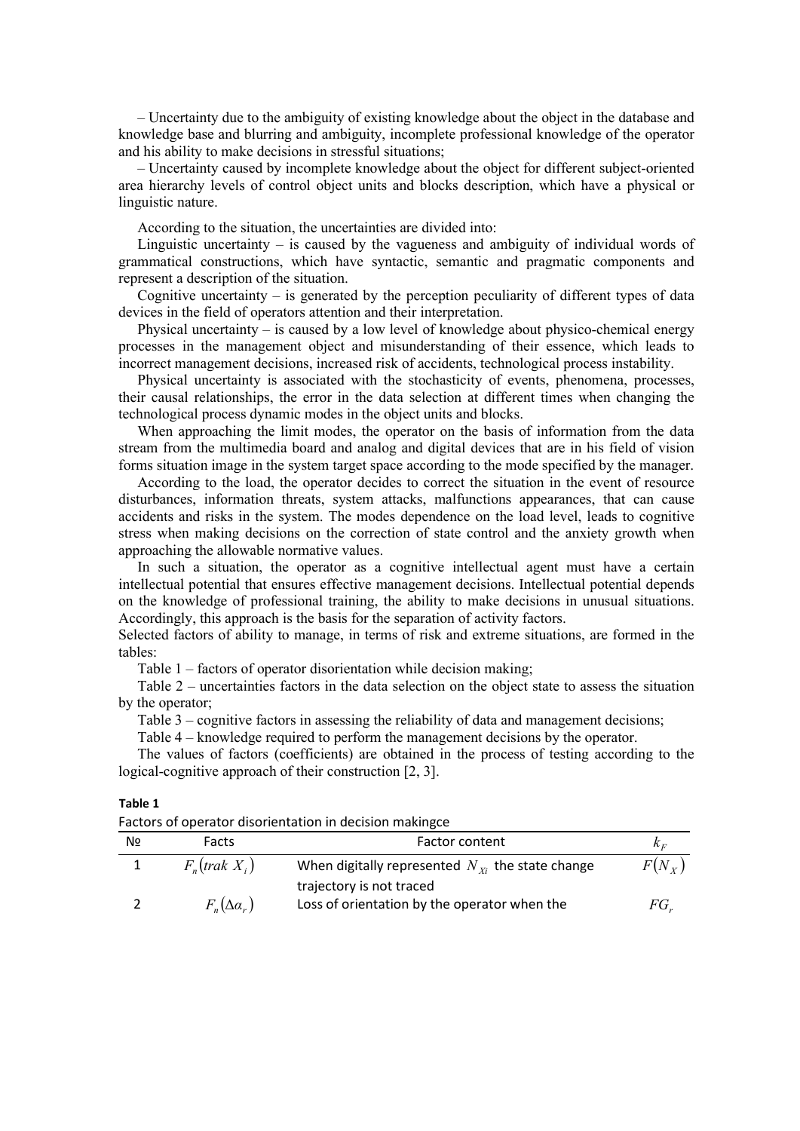– Uncertainty due to the ambiguity of existing knowledge about the object in the database and knowledge base and blurring and ambiguity, incomplete professional knowledge of the operator and his ability to make decisions in stressful situations;

– Uncertainty caused by incomplete knowledge about the object for different subject-oriented area hierarchy levels of control object units and blocks description, which have a physical or linguistic nature.

According to the situation, the uncertainties are divided into:

Linguistic uncertainty  $-$  is caused by the vagueness and ambiguity of individual words of grammatical constructions, which have syntactic, semantic and pragmatic components and represent a description of the situation.

Cognitive uncertainty  $-$  is generated by the perception peculiarity of different types of data devices in the field of operators attention and their interpretation.

Physical uncertainty – is caused by a low level of knowledge about physico-chemical energy processes in the management object and misunderstanding of their essence, which leads to incorrect management decisions, increased risk of accidents, technological process instability.

Physical uncertainty is associated with the stochasticity of events, phenomena, processes, their causal relationships, the error in the data selection at different times when changing the technological process dynamic modes in the object units and blocks.

When approaching the limit modes, the operator on the basis of information from the data stream from the multimedia board and analog and digital devices that are in his field of vision forms situation image in the system target space according to the mode specified by the manager.

According to the load, the operator decides to correct the situation in the event of resource disturbances, information threats, system attacks, malfunctions appearances, that can cause accidents and risks in the system. The modes dependence on the load level, leads to cognitive stress when making decisions on the correction of state control and the anxiety growth when approaching the allowable normative values.

In such a situation, the operator as a cognitive intellectual agent must have a certain intellectual potential that ensures effective management decisions. Intellectual potential depends on the knowledge of professional training, the ability to make decisions in unusual situations. Accordingly, this approach is the basis for the separation of activity factors.

Selected factors of ability to manage, in terms of risk and extreme situations, are formed in the tables:

Table 1 – factors of operator disorientation while decision making;

Table 2 – uncertainties factors in the data selection on the object state to assess the situation by the operator;

Table 3 – cognitive factors in assessing the reliability of data and management decisions;

Table 4 – knowledge required to perform the management decisions by the operator.

The values of factors (coefficients) are obtained in the process of testing according to the logical-cognitive approach of their construction [2, 3].

| ۱D<br>л<br>٠<br>۰. |  |
|--------------------|--|
|--------------------|--|

| Factors of operator disorientation in decision makingce |
|---------------------------------------------------------|
|---------------------------------------------------------|

| N∘ | Facts                   | Factor content                                        | $K_E$      |
|----|-------------------------|-------------------------------------------------------|------------|
|    | $F_{n}$ (trak $X_{i}$ ) | When digitally represented $N_{Y_i}$ the state change | $F(N_{Y})$ |
|    |                         | trajectory is not traced                              |            |
|    | $F_{n}(\Delta a_{r})$   | Loss of orientation by the operator when the          | FG.        |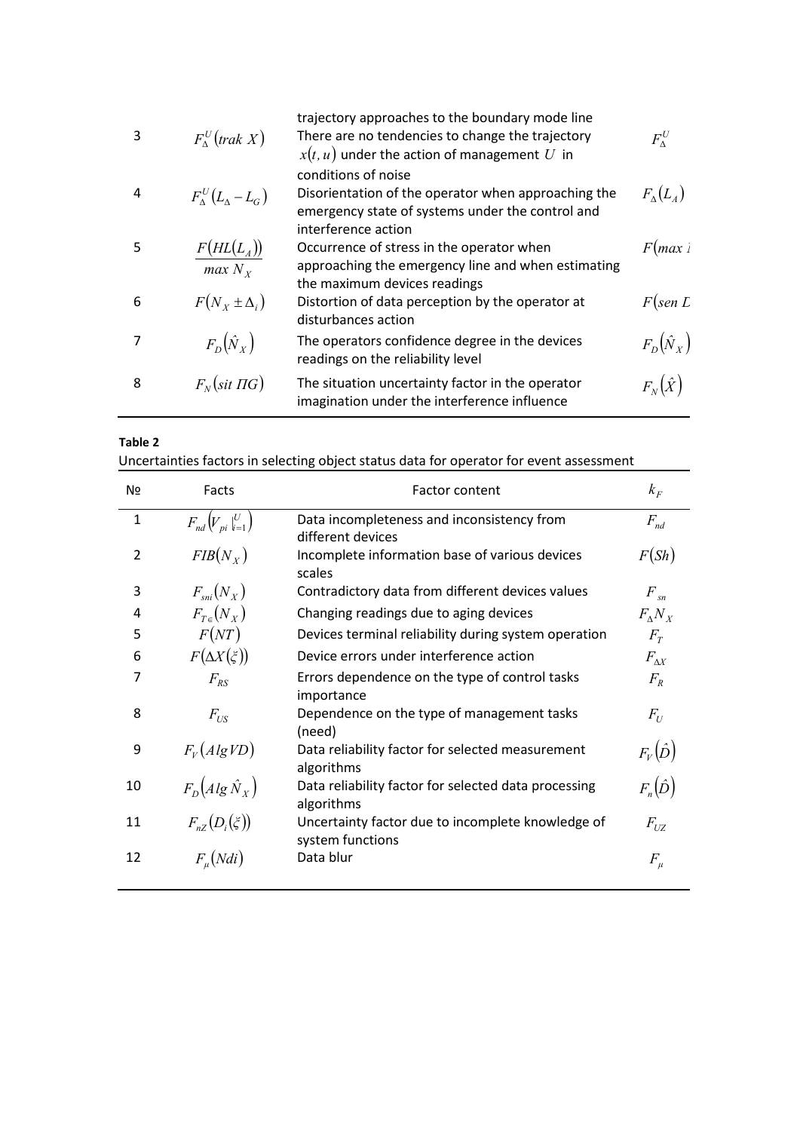| 3 | $F_{\Lambda}^{U}($ trak X)           | trajectory approaches to the boundary mode line<br>There are no tendencies to change the trajectory<br>$x(t, u)$ under the action of management U in  | $F_{\alpha}^{U}$     |
|---|--------------------------------------|-------------------------------------------------------------------------------------------------------------------------------------------------------|----------------------|
| 4 | $F_{\Lambda}^{U}(L_{\Lambda}-L_{G})$ | conditions of noise<br>Disorientation of the operator when approaching the<br>emergency state of systems under the control and<br>interference action | $F_{\Lambda}(L_{4})$ |
| 5 | $F(HL(L_A))$<br>$max N_{Y}$          | Occurrence of stress in the operator when<br>approaching the emergency line and when estimating<br>the maximum devices readings                       | F(max)               |
| 6 | $F(N_x \pm \Delta_i)$                | Distortion of data perception by the operator at<br>disturbances action                                                                               | $F$ (sen L           |
|   | $F_D(\hat{N}_X)$                     | The operators confidence degree in the devices<br>readings on the reliability level                                                                   | $F_D(\hat{N}_X)$     |
| 8 | $F_N(\text{sit} \Pi G)$              | The situation uncertainty factor in the operator<br>imagination under the interference influence                                                      | $F_{N}(\hat{X})$     |
|   |                                      |                                                                                                                                                       |                      |

Uncertainties factors in selecting object status data for operator for event assessment

| N <sub>2</sub> | Facts                                              | <b>Factor content</b>                                                 |                  |
|----------------|----------------------------------------------------|-----------------------------------------------------------------------|------------------|
| $\mathbf{1}$   | $F_{nd}\left(V_{pi}\left _{i=1}^{U}\right.\right)$ | Data incompleteness and inconsistency from<br>different devices       | $F_{nd}$         |
| $\overline{2}$ | $FIB(N_X)$                                         | Incomplete information base of various devices<br>scales              | F(Sh)            |
| 3              | $F_{\rm uni}(N_{X})$                               | Contradictory data from different devices values                      | $F_{sn}$         |
| 4              | $F_{T_{\epsilon}}(N_{X})$                          | Changing readings due to aging devices                                | $F_{\Lambda}N_X$ |
| 5              | F(NT)                                              | Devices terminal reliability during system operation                  | $F_{T}$          |
| 6              | $F(\Delta X(\xi))$                                 | Device errors under interference action                               | $F_{\Lambda X}$  |
| 7              | $F_{RS}$                                           | Errors dependence on the type of control tasks<br>importance          | $F_{R}$          |
| 8              | $F_{US}$                                           | Dependence on the type of management tasks<br>(need)                  | $F_U$            |
| 9              | $F_V(AlgVD)$                                       | Data reliability factor for selected measurement<br>algorithms        | $F_V(\hat{D})$   |
| 10             | $F_D(Alg\hat{N}_X)$                                | Data reliability factor for selected data processing<br>algorithms    | $F_n(\hat{D})$   |
| 11             | $F_{nZ}(D_i(\xi))$                                 | Uncertainty factor due to incomplete knowledge of<br>system functions | $F_{UZ}$         |
| 12             | $F_u(Ndi)$                                         | Data blur                                                             | $F_\mu$          |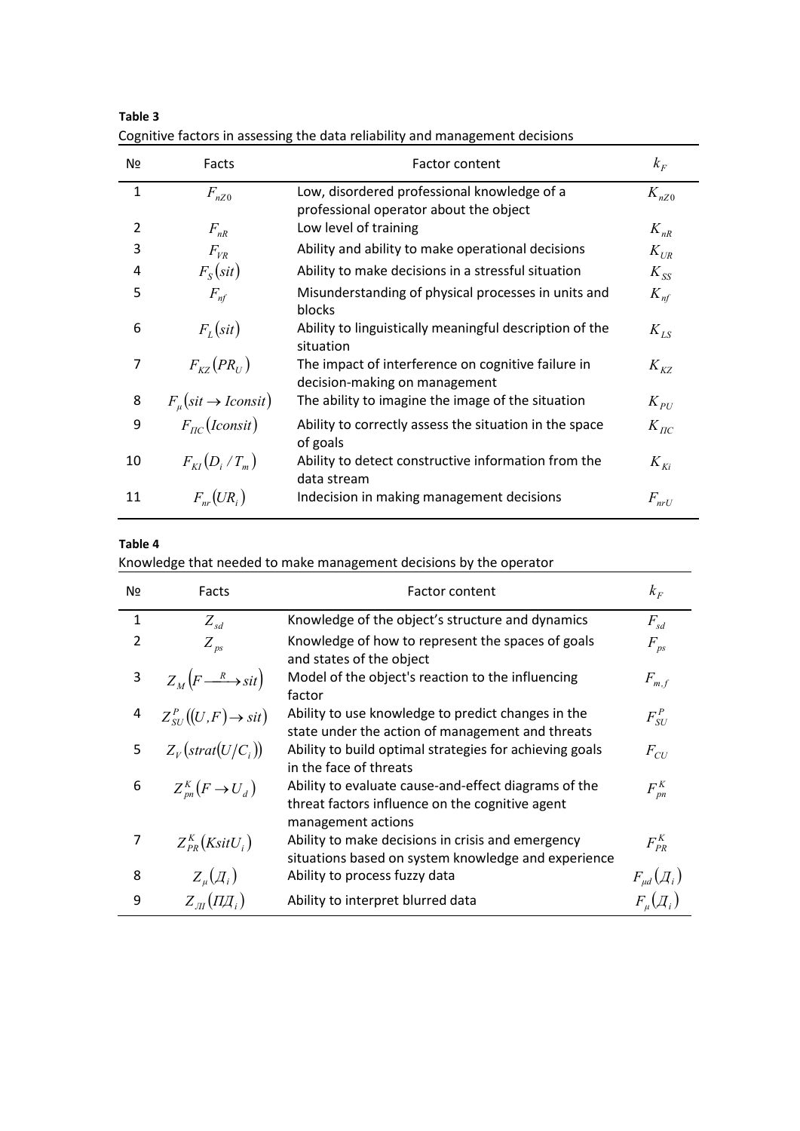| Nº           | Facts                                                                                              | Factor content                                                                      | $k_F$             |
|--------------|----------------------------------------------------------------------------------------------------|-------------------------------------------------------------------------------------|-------------------|
| $\mathbf{1}$ | Low, disordered professional knowledge of a<br>$F_{nZ0}$<br>professional operator about the object |                                                                                     | $K_{nZ0}$         |
| 2            | $F_{nR}$                                                                                           | Low level of training                                                               | $K_{nR}$          |
| 3            | $F_{VR}$                                                                                           | Ability and ability to make operational decisions                                   | $K_{UR}$          |
| 4            | $F_s(sit)$                                                                                         | Ability to make decisions in a stressful situation                                  | $K_{SS}$          |
| 5            | $F_{nf}$                                                                                           | Misunderstanding of physical processes in units and<br>blocks                       | $K_{nf}$          |
| 6            | $F_{L}(sit)$                                                                                       | Ability to linguistically meaningful description of the<br>situation                | $K_{\mathit{LS}}$ |
| 7            | $F_{\scriptscriptstyle KZ}(PR_{\scriptscriptstyle U})$                                             | The impact of interference on cognitive failure in<br>decision-making on management | $K_{KZ}$          |
| 8            | $F_u(sit \to Iconst)$                                                                              | The ability to imagine the image of the situation                                   | $K_{PU}$          |
| 9            | $F_{nc}(Iconst)$                                                                                   | Ability to correctly assess the situation in the space<br>of goals                  | $K_{\pi C}$       |
| 10           | $F_{\scriptscriptstyle{KI}}(D_i/T_{\scriptscriptstyle{m}})$                                        | Ability to detect constructive information from the<br>data stream                  | $K_{\mathit{Ki}}$ |
| 11           | $F_{nr}(UR_i)$                                                                                     | Indecision in making management decisions                                           | $F_{nrU}$         |

**Table 3** Cognitive factors in assessing the data reliability and management decisions

**Table 4**

Knowledge that needed to make management decisions by the operator

| Nº             | Facts                                                                    | <b>Factor content</b>                                                                                                         |                       |
|----------------|--------------------------------------------------------------------------|-------------------------------------------------------------------------------------------------------------------------------|-----------------------|
| $\mathbf{1}$   | $Z_{sd}$                                                                 | Knowledge of the object's structure and dynamics                                                                              | $F_{sd}$              |
| $\overline{2}$ | $Z_{\text{ps}}$                                                          | Knowledge of how to represent the spaces of goals<br>and states of the object                                                 | $F_{ps}$              |
| 3              | $Z_M(F \longrightarrow$ sit                                              | Model of the object's reaction to the influencing<br>factor                                                                   | $F_{m,f}$             |
| 4              | $Z_{\scriptscriptstyle SI}^{\scriptscriptstyle P}((U,F)\rightarrow sit)$ | Ability to use knowledge to predict changes in the<br>state under the action of management and threats                        | $F_{SU}^P$            |
| 5              | $Z_V(\text{strat}(U/C_i))$                                               | Ability to build optimal strategies for achieving goals<br>in the face of threats                                             | $F_{CU}$              |
| 6              | $Z_{nn}^{K}(F \rightarrow U_{d})$                                        | Ability to evaluate cause-and-effect diagrams of the<br>threat factors influence on the cognitive agent<br>management actions | $F_{\textit{pn}}^{K}$ |
| 7              | $Z_{PR}^{K}(KsitU_i)$                                                    | Ability to make decisions in crisis and emergency<br>situations based on system knowledge and experience                      | $F_{PR}^{K}$          |
| 8              | $Z_u(\mathcal{A}_i)$                                                     | Ability to process fuzzy data                                                                                                 | $F_{\mu d}(A_i)$      |
| 9              | $Z_{\mu\nu}(\Pi \overline{\mu}_i)$                                       | Ability to interpret blurred data                                                                                             | $F_u(\mathcal{A}_i)$  |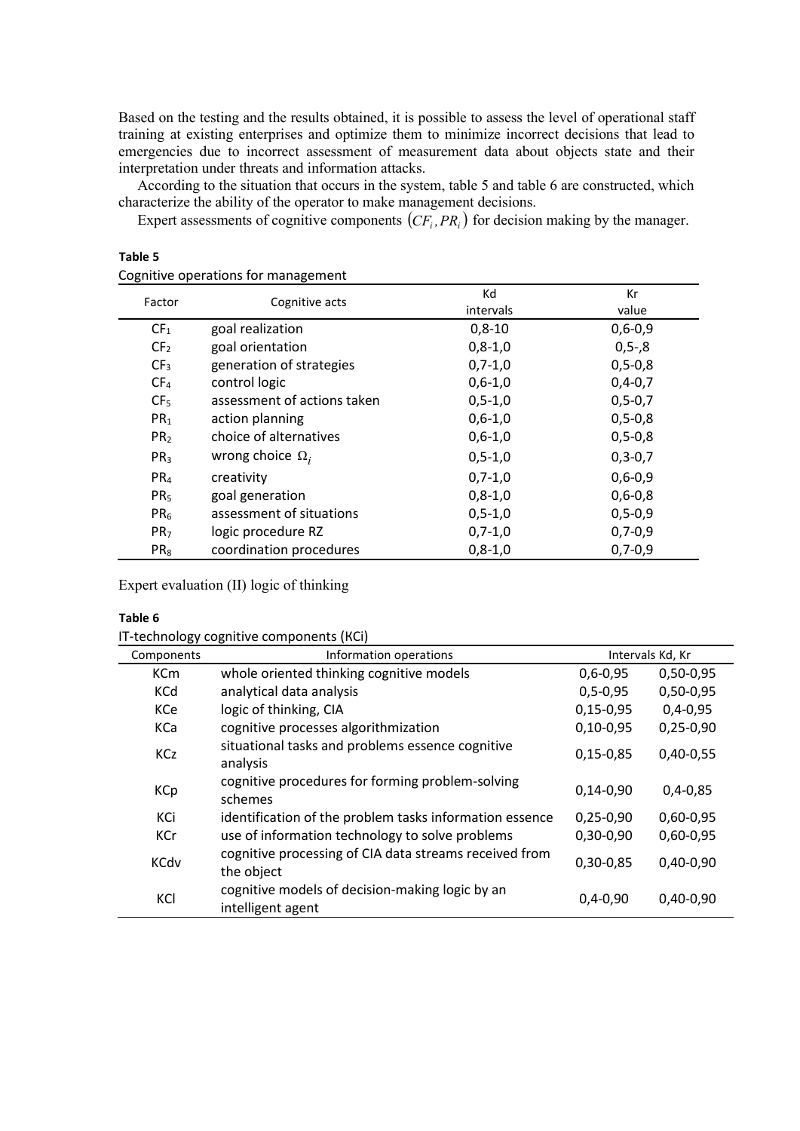Based on the testing and the results obtained, it is possible to assess the level of operational staff training at existing enterprises and optimize them to minimize incorrect decisions that lead to emergencies due to incorrect assessment of measurement data about objects state and their interpretation under threats and information attacks.

According to the situation that occurs in the system, table 5 and table 6 are constructed, which characterize the ability of the operator to make management decisions.

Expert assessments of cognitive components  $(CF_i, PR_i)$  for decision making by the manager.

| Factor          | Cognitive acts              | Kd            | Кr            |
|-----------------|-----------------------------|---------------|---------------|
|                 |                             | intervals     | value         |
| CF <sub>1</sub> | goal realization            | $0,8-10$      | $0,6 - 0,9$   |
| CF <sub>2</sub> | goal orientation            | $0,8-1,0$     | $0, 5 - 0.8$  |
| CF <sub>3</sub> | generation of strategies    | $0,7-1,0$     | $0, 5 - 0, 8$ |
| CF <sub>4</sub> | control logic               | $0,6-1,0$     | $0,4-0,7$     |
| CF <sub>5</sub> | assessment of actions taken | $0, 5 - 1, 0$ | $0, 5 - 0, 7$ |
| PR <sub>1</sub> | action planning             | $0,6-1,0$     | $0, 5 - 0, 8$ |
| PR <sub>2</sub> | choice of alternatives      | $0,6-1,0$     | $0, 5 - 0, 8$ |
| PR <sub>3</sub> | wrong choice $\Omega_i$     | $0, 5 - 1, 0$ | $0, 3 - 0, 7$ |
| PR <sub>4</sub> | creativity                  | $0,7-1,0$     | $0,6 - 0,9$   |
| PR <sub>5</sub> | goal generation             | $0,8-1,0$     | $0,6 - 0,8$   |
| PR <sub>6</sub> | assessment of situations    | $0, 5 - 1, 0$ | $0, 5 - 0, 9$ |
| PR <sub>7</sub> | logic procedure RZ          | $0,7-1,0$     | $0,7-0,9$     |
| PR <sub>8</sub> | coordination procedures     | $0,8-1,0$     | $0,7-0,9$     |

| Table 5                             |
|-------------------------------------|
| Cognitive operations for management |

Expert evaluation (ІІ) logic of thinking

#### **Table 6**

IT-technology cognitive components (КСі)

| Components  | Intervals Kd, Kr<br>Information operations                           |                |             |
|-------------|----------------------------------------------------------------------|----------------|-------------|
| <b>KCm</b>  | whole oriented thinking cognitive models                             | $0,6 - 0,95$   | $0,50-0,95$ |
| <b>KCd</b>  | analytical data analysis                                             | $0, 5 - 0, 95$ | 0,50-0,95   |
| KCe         | logic of thinking, CIA                                               | $0,15-0,95$    | $0,4-0,95$  |
| KCa         | cognitive processes algorithmization                                 | $0,10-0.95$    | $0,25-0,90$ |
| <b>KCz</b>  | situational tasks and problems essence cognitive<br>analysis         | $0,15-0,85$    | $0,40-0,55$ |
| <b>KCp</b>  | cognitive procedures for forming problem-solving<br>schemes          | $0,14-0,90$    | $0,4-0,85$  |
| KCi         | identification of the problem tasks information essence              | $0,25-0,90$    | $0,60-0,95$ |
| <b>KCr</b>  | use of information technology to solve problems                      | $0,30-0,90$    | $0,60-0,95$ |
| <b>KCdv</b> | cognitive processing of CIA data streams received from<br>the object | 0,30-0,85      | $0,40-0,90$ |
| KCI         | cognitive models of decision-making logic by an<br>intelligent agent | $0,4-0,90$     | $0,40-0,90$ |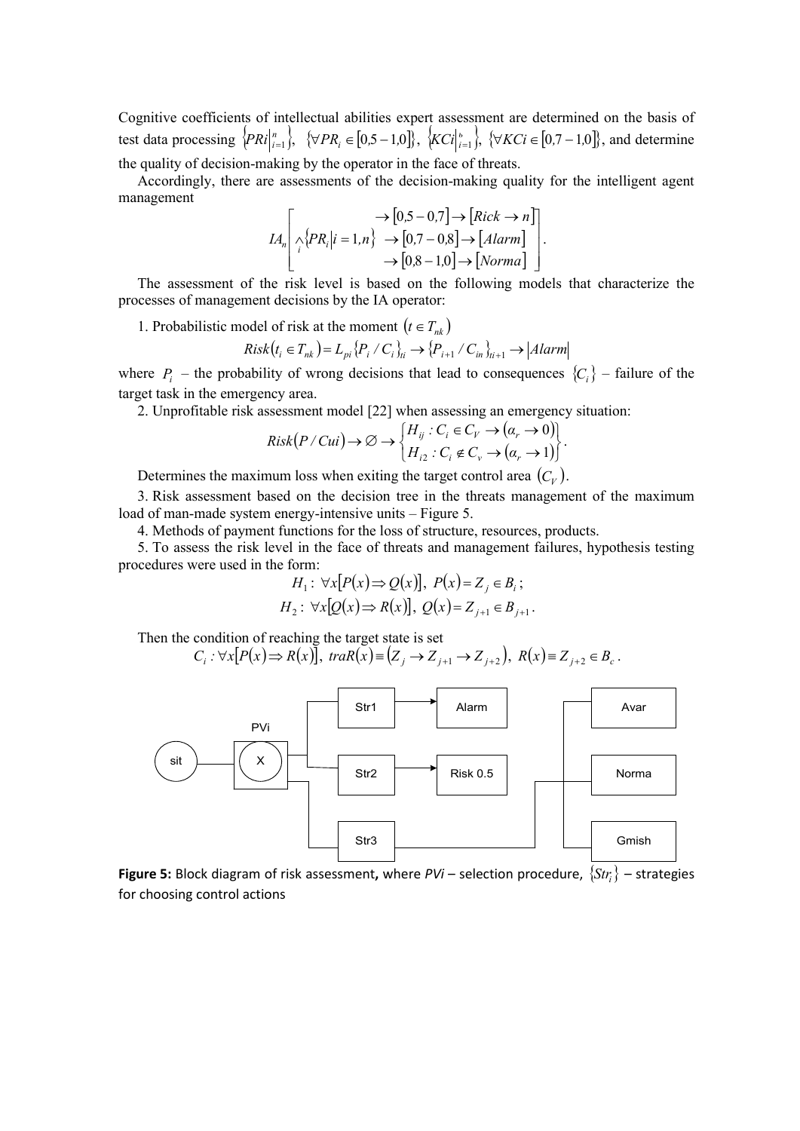Cognitive coefficients of intellectual abilities expert assessment are determined on the basis of test data processing  $\{PRi\}_{i=1}^n$ ,  $\{\forall PR_i \in [0.5-1.0]\}, \{KCI\}_{i=1}^n$ ,  $\{\forall KCi \in [0.7-1.0]\},$  and determine

the quality of decision-making by the operator in the face of threats.

Accordingly, there are assessments of the decision-making quality for the intelligent agent management

$$
IA_n\left[\bigwedge_i \{PR_i|i=1,n\} \rightarrow [0,5-0,7] \rightarrow [Rick \rightarrow n]\right].
$$
  

$$
\rightarrow [0,7-0,8] \rightarrow [Alarm]
$$

$$
\rightarrow [0,8-1,0] \rightarrow [Norma]
$$

The assessment of the risk level is based on the following models that characterize the processes of management decisions by the IA operator:

1. Probabilistic model of risk at the moment  $(t \in T_{nk})$ 

$$
Risk(t_i \in T_{nk}) = L_{pi} \{P_i / C_i\}_{ti} \rightarrow \{P_{i+1} / C_{in}\}_{ti+1} \rightarrow |Alarm|
$$

where  $P_i$  – the probability of wrong decisions that lead to consequences  $\{C_i\}$  – failure of the target task in the emergency area.

2. Unprofitable risk assessment model [22] when assessing an emergency situation:

$$
Risk(P/Cui)\rightarrow \emptyset \rightarrow \begin{cases} H_{ij}: C_i \in C_V \rightarrow (\alpha_r \rightarrow 0) \\ H_{i2}: C_i \notin C_v \rightarrow (\alpha_r \rightarrow 1) \end{cases}.
$$

Determines the maximum loss when exiting the target control area  $(C_V)$ .

3. Risk assessment based on the decision tree in the threats management of the maximum load of man-made system energy-intensive units – Figure 5.

4. Methods of payment functions for the loss of structure, resources, products.

5. To assess the risk level in the face of threats and management failures, hypothesis testing procedures were used in the form:

$$
H_1: \forall x [P(x) \Rightarrow Q(x)], P(x)=Z_j \in B_i;
$$
  

$$
H_2: \forall x [Q(x) \Rightarrow R(x)], Q(x)=Z_{j+1} \in B_{j+1}.
$$

Then the condition of reaching the target state is set

$$
C_i: \forall x \big[ P(x) \Longrightarrow R(x) \big], \, \, \text{tr}aR(x) \equiv \big( Z_j \to Z_{j+1} \to Z_{j+2} \big), \, \, R(x) \equiv Z_{j+2} \in B_c \, .
$$



**Figure 5:** Block diagram of risk assessment, where  $PVi$  – selection procedure,  $\{Str_i\}$  – strategies for choosing control actions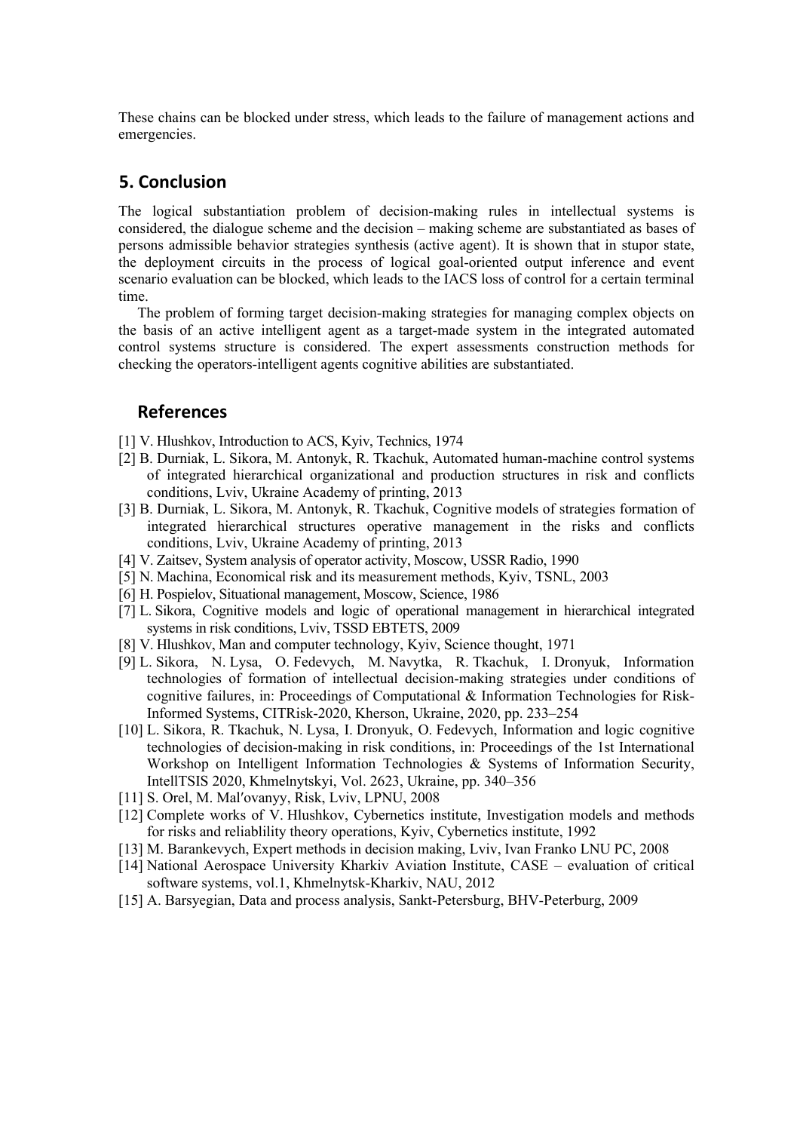These chains can be blocked under stress, which leads to the failure of management actions and emergencies.

### **5. Conclusion**

The logical substantiation problem of decision-making rules in intellectual systems is considered, the dialogue scheme and the decision – making scheme are substantiated as bases of persons admissible behavior strategies synthesis (active agent). It is shown that in stupor state, the deployment circuits in the process of logical goal-oriented output inference and event scenario evaluation can be blocked, which leads to the IACS loss of control for a certain terminal time.

The problem of forming target decision-making strategies for managing complex objects on the basis of an active intelligent agent as a target-made system in the integrated automated control systems structure is considered. The expert assessments construction methods for checking the operators-intelligent agents cognitive abilities are substantiated.

#### **References**

- [1] V. Hlushkov, Introduction to ACS, Kyiv, Technics, 1974
- [2] B. Durniak, L. Sikora, M. Antonyk, R. Tkachuk, Automated human-machine control systems of integrated hierarchical organizational and production structures in risk and conflicts conditions, Lviv, Ukraine Academy of printing, 2013
- [3] B. Durniak, L. Sikora, M. Antonyk, R. Tkachuk, Cognitive models of strategies formation of integrated hierarchical structures operative management in the risks and conflicts conditions, Lviv, Ukraine Academy of printing, 2013
- [4] V. Zaitsev, System analysis of operator activity, Moscow, USSR Radio, 1990
- [5] N. Machina, Economical risk and its measurement methods, Kyiv, TSNL, 2003
- [6] H. Pospielov, Situational management, Moscow, Science, 1986
- [7] L. Sikora, Cognitive models and logic of operational management in hierarchical integrated systems in risk conditions, Lviv, TSSD EBTETS, 2009
- [8] V. Hlushkov, Man and computer technology, Kyiv, Science thought, 1971
- [9] L. Sikora, N. Lysa, O. Fedevych, M. Navytka, R. Tkachuk, I. Dronyuk, Information technologies of formation of intellectual decision-making strategies under conditions of cognitive failures, in: Proceedings of Computational & Information Technologies for Risk-Informed Systems, CITRisk-2020, Kherson, Ukraine, 2020, pр. 233–254
- [10] L. Sikora, R. Tkachuk, N. Lysa, I. Dronyuk, O. Fedevych, [Information and logic cognitive](http://ceur-ws.org/Vol-2623/paper29.pdf)  [technologies of decision-making in risk conditions,](http://ceur-ws.org/Vol-2623/paper29.pdf) in: Proceedings of the 1st International Workshop on Intelligent Information Technologies & Systems of Information Security, IntellTSIS 2020, Khmelnytskyi, Vol. 2623, Ukraine, pp. 340–356
- [11] S. Orel, M. Mal'ovanyy, Risk, Lviv, LPNU, 2008
- [12] Complete works of V. Hlushkov, Cybernetics institute, Investigation models and methods for risks and reliablility theory operations, Kyiv, Cybernetics institute, 1992
- [13] M. Barankevych, Expert methods in decision making, Lviv, Ivan Franko LNU PC, 2008
- [14] National Aerospace University Kharkiv Aviation Institute, CASE evaluation of critical software systems, vol.1, Khmelnytsk-Kharkiv, NAU, 2012
- [15] A. Barsyegian, Data and process analysis, Sankt-Petersburg, BHV-Peterburg, 2009